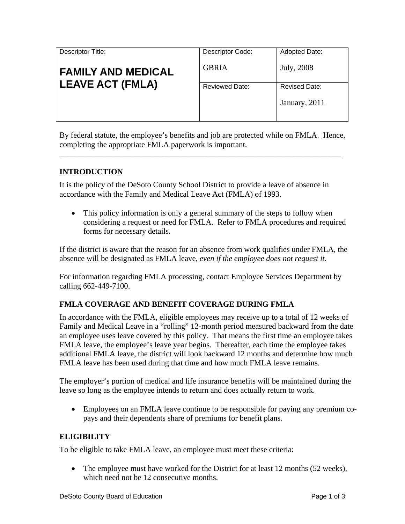| Descriptor Title:         | Descriptor Code:      | <b>Adopted Date:</b>                  |
|---------------------------|-----------------------|---------------------------------------|
| <b>FAMILY AND MEDICAL</b> | <b>GBRIA</b>          | July, 2008                            |
| <b>LEAVE ACT (FMLA)</b>   | <b>Reviewed Date:</b> | <b>Revised Date:</b><br>January, 2011 |

By federal statute, the employee's benefits and job are protected while on FMLA. Hence, completing the appropriate FMLA paperwork is important.

\_\_\_\_\_\_\_\_\_\_\_\_\_\_\_\_\_\_\_\_\_\_\_\_\_\_\_\_\_\_\_\_\_\_\_\_\_\_\_\_\_\_\_\_\_\_\_\_\_\_\_\_\_\_\_\_\_\_\_\_\_\_\_\_\_\_\_\_\_\_\_

## **INTRODUCTION**

It is the policy of the DeSoto County School District to provide a leave of absence in accordance with the Family and Medical Leave Act (FMLA) of 1993.

• This policy information is only a general summary of the steps to follow when considering a request or need for FMLA. Refer to FMLA procedures and required forms for necessary details.

If the district is aware that the reason for an absence from work qualifies under FMLA, the absence will be designated as FMLA leave, *even if the employee does not request it.* 

For information regarding FMLA processing, contact Employee Services Department by calling 662-449-7100.

## **FMLA COVERAGE AND BENEFIT COVERAGE DURING FMLA**

In accordance with the FMLA, eligible employees may receive up to a total of 12 weeks of Family and Medical Leave in a "rolling" 12-month period measured backward from the date an employee uses leave covered by this policy. That means the first time an employee takes FMLA leave, the employee's leave year begins. Thereafter, each time the employee takes additional FMLA leave, the district will look backward 12 months and determine how much FMLA leave has been used during that time and how much FMLA leave remains.

The employer's portion of medical and life insurance benefits will be maintained during the leave so long as the employee intends to return and does actually return to work.

• Employees on an FMLA leave continue to be responsible for paying any premium copays and their dependents share of premiums for benefit plans.

## **ELIGIBILITY**

To be eligible to take FMLA leave, an employee must meet these criteria:

• The employee must have worked for the District for at least 12 months (52 weeks), which need not be 12 consecutive months.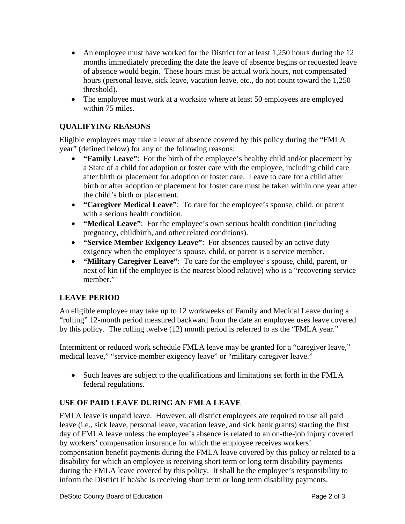- An employee must have worked for the District for at least 1,250 hours during the 12 months immediately preceding the date the leave of absence begins or requested leave of absence would begin.These hours must be actual work hours, not compensated hours (personal leave, sick leave, vacation leave, etc., do not count toward the 1,250 threshold).
- The employee must work at a worksite where at least 50 employees are employed within 75 miles.

## **QUALIFYING REASONS**

Eligible employees may take a leave of absence covered by this policy during the "FMLA year" (defined below) for any of the following reasons:

- **"Family Leave"**: For the birth of the employee's healthy child and/or placement by a State of a child for adoption or foster care with the employee, including child care after birth or placement for adoption or foster care. Leave to care for a child after birth or after adoption or placement for foster care must be taken within one year after the child's birth or placement.
- **"Caregiver Medical Leave"**: To care for the employee's spouse, child, or parent with a serious health condition.
- **"Medical Leave"**: For the employee's own serious health condition (including pregnancy, childbirth, and other related conditions).
- **"Service Member Exigency Leave"**: For absences caused by an active duty exigency when the employee's spouse, child, or parent is a service member.
- **"Military Caregiver Leave"**: To care for the employee's spouse, child, parent, or next of kin (if the employee is the nearest blood relative) who is a "recovering service member."

## **LEAVE PERIOD**

An eligible employee may take up to 12 workweeks of Family and Medical Leave during a "rolling" 12-month period measured backward from the date an employee uses leave covered by this policy. The rolling twelve (12) month period is referred to as the "FMLA year."

Intermittent or reduced work schedule FMLA leave may be granted for a "caregiver leave," medical leave," "service member exigency leave" or "military caregiver leave."

• Such leaves are subject to the qualifications and limitations set forth in the FMLA federal regulations.

# **USE OF PAID LEAVE DURING AN FMLA LEAVE**

FMLA leave is unpaid leave. However, all district employees are required to use all paid leave (i.e., sick leave, personal leave, vacation leave, and sick bank grants) starting the first day of FMLA leave unless the employee's absence is related to an on-the-job injury covered by workers' compensation insurance for which the employee receives workers' compensation benefit payments during the FMLA leave covered by this policy or related to a disability for which an employee is receiving short term or long term disability payments during the FMLA leave covered by this policy. It shall be the employee's responsibility to inform the District if he/she is receiving short term or long term disability payments.